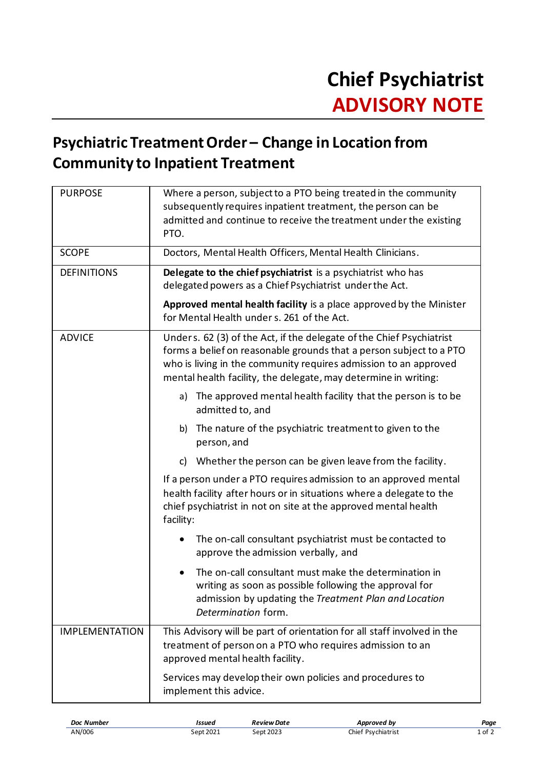## **Psychiatric Treatment Order – Change in Location from Community to Inpatient Treatment**

| <b>PURPOSE</b>        | Where a person, subject to a PTO being treated in the community<br>subsequently requires inpatient treatment, the person can be<br>admitted and continue to receive the treatment under the existing<br>PTO.                                                                       |
|-----------------------|------------------------------------------------------------------------------------------------------------------------------------------------------------------------------------------------------------------------------------------------------------------------------------|
| <b>SCOPE</b>          | Doctors, Mental Health Officers, Mental Health Clinicians.                                                                                                                                                                                                                         |
| <b>DEFINITIONS</b>    | Delegate to the chief psychiatrist is a psychiatrist who has<br>delegated powers as a Chief Psychiatrist under the Act.                                                                                                                                                            |
|                       | Approved mental health facility is a place approved by the Minister<br>for Mental Health under s. 261 of the Act.                                                                                                                                                                  |
| <b>ADVICE</b>         | Unders. 62 (3) of the Act, if the delegate of the Chief Psychiatrist<br>forms a belief on reasonable grounds that a person subject to a PTO<br>who is living in the community requires admission to an approved<br>mental health facility, the delegate, may determine in writing: |
|                       | The approved mental health facility that the person is to be<br>a)<br>admitted to, and                                                                                                                                                                                             |
|                       | The nature of the psychiatric treatment to given to the<br>b)<br>person, and                                                                                                                                                                                                       |
|                       | Whether the person can be given leave from the facility.<br>c)                                                                                                                                                                                                                     |
|                       | If a person under a PTO requires admission to an approved mental<br>health facility after hours or in situations where a delegate to the<br>chief psychiatrist in not on site at the approved mental health<br>facility:                                                           |
|                       | The on-call consultant psychiatrist must be contacted to<br>approve the admission verbally, and                                                                                                                                                                                    |
|                       | The on-call consultant must make the determination in<br>writing as soon as possible following the approval for<br>admission by updating the Treatment Plan and Location<br>Determination form.                                                                                    |
| <b>IMPLEMENTATION</b> | This Advisory will be part of orientation for all staff involved in the<br>treatment of person on a PTO who requires admission to an<br>approved mental health facility.                                                                                                           |
|                       | Services may develop their own policies and procedures to<br>implement this advice.                                                                                                                                                                                                |